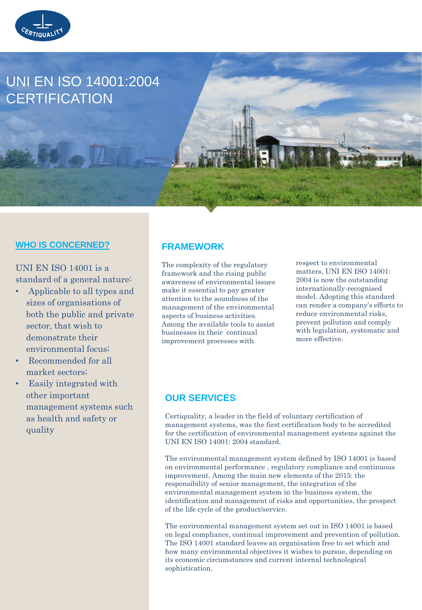

# UNI EN ISO 14001:2004 **CERTIFICATION**

#### **WHO IS CONCERNED?**

UNI EN ISO 14001 is a standard of a general nature:

- Applicable to all types and sizes of organisations of both the public and private sector, that wish to demonstrate their environmental focus;
- Recommended for all market sectors;
- Easily integrated with other important management systems such as health and safety or quality

#### **FRAMEWORK**

The complexity of the regulatory framework and the rising public awareness of environmental issues make it essential to pay greater attention to the soundness of the management of the environmental aspects of business activities. Among the available tools to assist businesses in their continual improvement processes with

respect to environmental matters, UNI EN ISO 14001: 2004 is now the outstanding internationally-recognised model. Adopting this standard can render a company's efforts to reduce environmental risks, prevent pollution and comply with legislation, systematic and more effective.

#### **OUR SERVICES**

Certiquality, a leader in the field of voluntary certification of management systems, was the first certification body to be accredited for the certification of environmental management systems against the UNI EN ISO 14001: 2004 standard.

The environmental management system defined by ISO 14001 is based on environmental performance , regulatory compliance and continuous improvement. Among the main new elements of the 2015: the responsibility of senior management, the integration of the environmental management system in the business system, the identification and management of risks and opportunities, the prospect of the life cycle of the product/service.

The environmental management system set out in ISO 14001 is based on legal compliance, continual improvement and prevention of pollution. The ISO 14001 standard leaves an organisation free to set which and how many environmental objectives it wishes to pursue, depending on its economic circumstances and current internal technological sophistication.